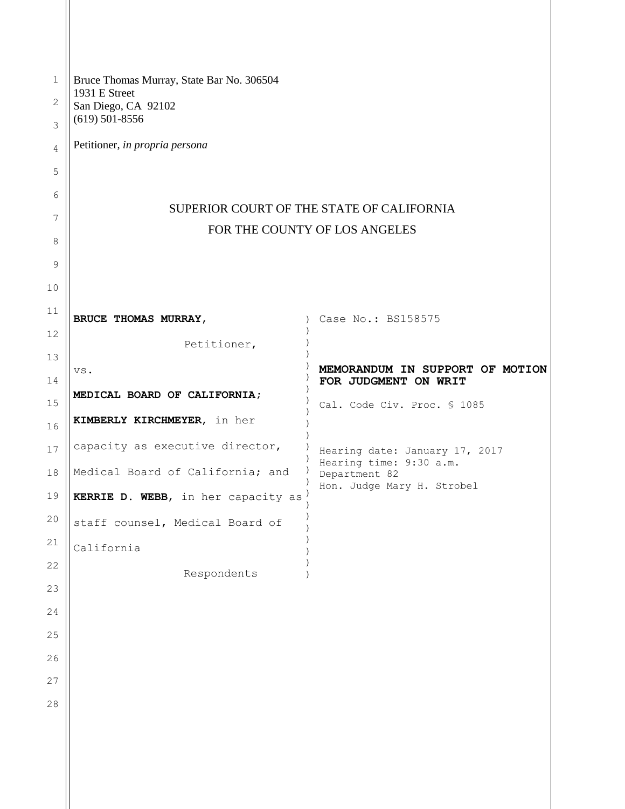| $\mathbf 1$<br>2 | Bruce Thomas Murray, State Bar No. 306504<br>1931 E Street<br>San Diego, CA 92102<br>$(619)$ 501-8556 |                                          |  |
|------------------|-------------------------------------------------------------------------------------------------------|------------------------------------------|--|
| 3                |                                                                                                       |                                          |  |
| 4                | Petitioner, in propria persona                                                                        |                                          |  |
| 5                |                                                                                                       |                                          |  |
| 6                | SUPERIOR COURT OF THE STATE OF CALIFORNIA<br>FOR THE COUNTY OF LOS ANGELES                            |                                          |  |
| 7                |                                                                                                       |                                          |  |
| 8                |                                                                                                       |                                          |  |
| 9                |                                                                                                       |                                          |  |
| 10               |                                                                                                       |                                          |  |
| 11               | BRUCE THOMAS MURRAY,                                                                                  | Case No.: BS158575<br>$\lambda$          |  |
| 12               | Petitioner,                                                                                           |                                          |  |
| 13               | VS.                                                                                                   | MEMORANDUM IN SUPPORT OF MOTION          |  |
| 14               | MEDICAL BOARD OF CALIFORNIA;                                                                          | FOR JUDGMENT ON WRIT                     |  |
| 15<br>16         | KIMBERLY KIRCHMEYER, in her                                                                           | Cal. Code Civ. Proc. § 1085              |  |
| 17               | capacity as executive director,                                                                       | Hearing date: January 17, 2017           |  |
| 18               | Medical Board of California; and                                                                      | Hearing time: 9:30 a.m.<br>Department 82 |  |
| 19               | KERRIE D. WEBB, in her capacity as                                                                    | Hon. Judge Mary H. Strobel               |  |
| 20               | staff counsel, Medical Board of                                                                       |                                          |  |
| 21               | California                                                                                            |                                          |  |
| 22               | Respondents                                                                                           |                                          |  |
| 23               |                                                                                                       |                                          |  |
| 24               |                                                                                                       |                                          |  |
| 25               |                                                                                                       |                                          |  |
| 26               |                                                                                                       |                                          |  |
| 27               |                                                                                                       |                                          |  |
| 28               |                                                                                                       |                                          |  |
|                  |                                                                                                       |                                          |  |
|                  |                                                                                                       |                                          |  |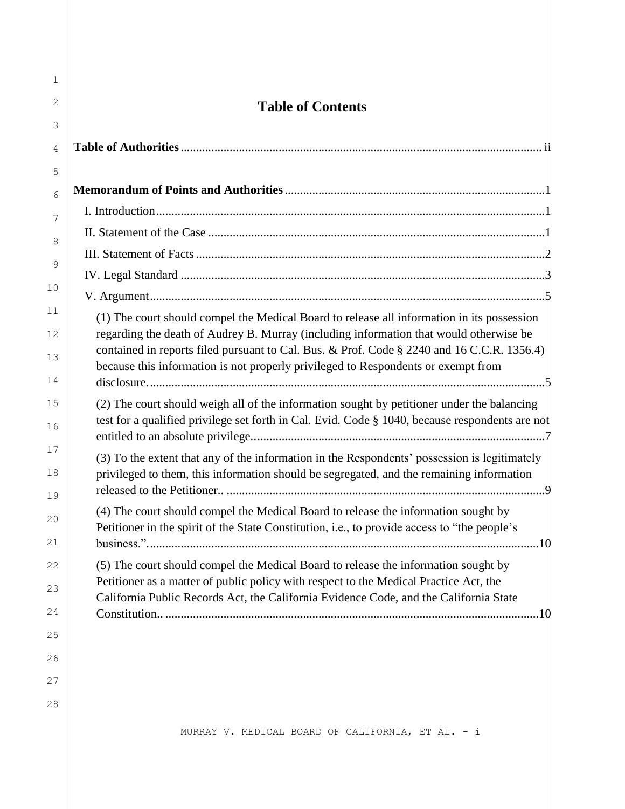| $\mathbf{1}$ |                                                                                                                                                                                      |
|--------------|--------------------------------------------------------------------------------------------------------------------------------------------------------------------------------------|
| 2<br>3       | <b>Table of Contents</b>                                                                                                                                                             |
| 4            |                                                                                                                                                                                      |
| 5            |                                                                                                                                                                                      |
| 6            |                                                                                                                                                                                      |
| 7            |                                                                                                                                                                                      |
| 8            |                                                                                                                                                                                      |
| 9            |                                                                                                                                                                                      |
|              |                                                                                                                                                                                      |
| 10           |                                                                                                                                                                                      |
| 11           | (1) The court should compel the Medical Board to release all information in its possession                                                                                           |
| 12           | regarding the death of Audrey B. Murray (including information that would otherwise be<br>contained in reports filed pursuant to Cal. Bus. & Prof. Code § 2240 and 16 C.C.R. 1356.4) |
| 13           | because this information is not properly privileged to Respondents or exempt from                                                                                                    |
| 14           |                                                                                                                                                                                      |
| 15           | (2) The court should weigh all of the information sought by petitioner under the balancing                                                                                           |
| 16           | test for a qualified privilege set forth in Cal. Evid. Code § 1040, because respondents are not                                                                                      |
| 17           | (3) To the extent that any of the information in the Respondents' possession is legitimately                                                                                         |
| 18           | privileged to them, this information should be segregated, and the remaining information                                                                                             |
| 19           |                                                                                                                                                                                      |
| 20           | (4) The court should compel the Medical Board to release the information sought by                                                                                                   |
| 21           | Petitioner in the spirit of the State Constitution, i.e., to provide access to "the people's                                                                                         |
| 22           | (5) The court should compel the Medical Board to release the information sought by                                                                                                   |
| 23           | Petitioner as a matter of public policy with respect to the Medical Practice Act, the                                                                                                |
| 24           | California Public Records Act, the California Evidence Code, and the California State                                                                                                |
| 25           |                                                                                                                                                                                      |
| 26           |                                                                                                                                                                                      |
| 27           |                                                                                                                                                                                      |
|              |                                                                                                                                                                                      |
| 28           |                                                                                                                                                                                      |
|              | MURRAY V. MEDICAL BOARD OF CALIFORNIA, ET AL. - i                                                                                                                                    |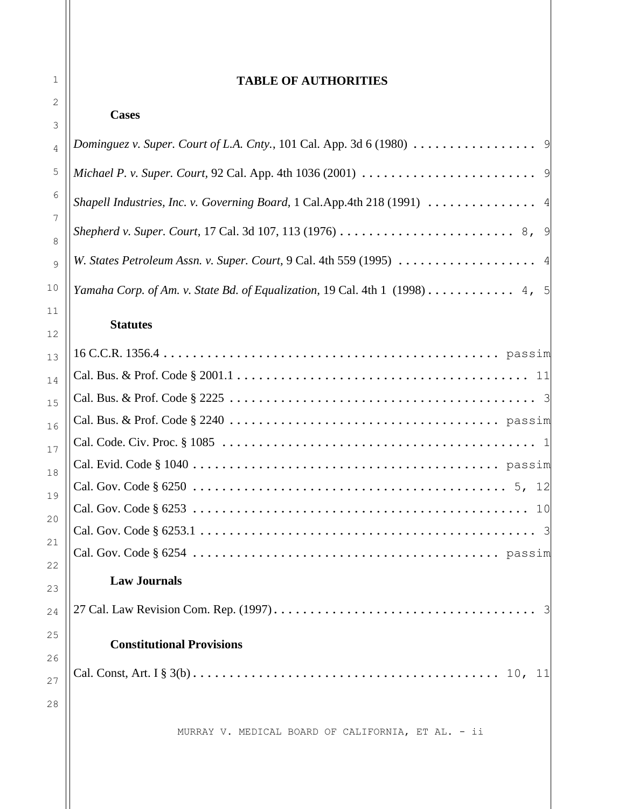### **TABLE OF AUTHORITIES**

| 3                             | <b>Cases</b>                                                                                                            |
|-------------------------------|-------------------------------------------------------------------------------------------------------------------------|
| 4                             |                                                                                                                         |
| 5                             |                                                                                                                         |
| 6                             | Shapell Industries, Inc. v. Governing Board, 1 Cal.App.4th 218 (1991)  4                                                |
| $\overline{7}$<br>8           | Shepherd v. Super. Court, 17 Cal. 3d 107, 113 (1976) $\ldots \ldots \ldots \ldots \ldots \ldots \ldots \ldots \, 8$ , 9 |
| 9                             |                                                                                                                         |
| O                             | Yamaha Corp. of Am. v. State Bd. of Equalization, 19 Cal. 4th 1 (1998) 4, 5                                             |
| $\mathbf 1$<br>$\overline{2}$ | <b>Statutes</b>                                                                                                         |
| 3                             |                                                                                                                         |
|                               |                                                                                                                         |
| 4                             |                                                                                                                         |
| 5                             |                                                                                                                         |
| 6                             |                                                                                                                         |
|                               |                                                                                                                         |
| 8                             |                                                                                                                         |
| 9                             |                                                                                                                         |
| D                             |                                                                                                                         |
|                               |                                                                                                                         |
| $\mathcal{L}$                 | <b>Law Journals</b>                                                                                                     |
| 3                             |                                                                                                                         |
| 4                             |                                                                                                                         |
| 5                             | <b>Constitutional Provisions</b>                                                                                        |
| 6                             |                                                                                                                         |
| $\overline{7}$                |                                                                                                                         |
| 8                             |                                                                                                                         |
|                               | MURRAY V. MEDICAL BOARD OF CALIFORNIA, ET AL. - ii                                                                      |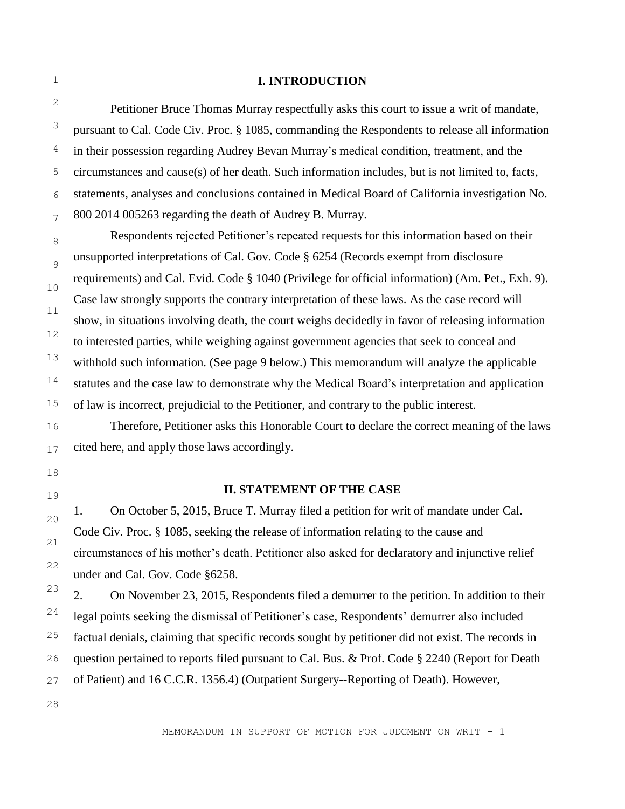### **I. INTRODUCTION**

Petitioner Bruce Thomas Murray respectfully asks this court to issue a writ of mandate, pursuant to Cal. Code Civ. Proc. § 1085, commanding the Respondents to release all information in their possession regarding Audrey Bevan Murray's medical condition, treatment, and the circumstances and cause(s) of her death. Such information includes, but is not limited to, facts, statements, analyses and conclusions contained in Medical Board of California investigation No. 800 2014 005263 regarding the death of Audrey B. Murray.

Respondents rejected Petitioner's repeated requests for this information based on their unsupported interpretations of Cal. Gov. Code § 6254 (Records exempt from disclosure requirements) and Cal. Evid. Code § 1040 (Privilege for official information) (Am. Pet., Exh. 9). Case law strongly supports the contrary interpretation of these laws. As the case record will show, in situations involving death, the court weighs decidedly in favor of releasing information to interested parties, while weighing against government agencies that seek to conceal and withhold such information. (See page 9 below.) This memorandum will analyze the applicable statutes and the case law to demonstrate why the Medical Board's interpretation and application of law is incorrect, prejudicial to the Petitioner, and contrary to the public interest.

Therefore, Petitioner asks this Honorable Court to declare the correct meaning of the laws cited here, and apply those laws accordingly.

### **II. STATEMENT OF THE CASE**

1. On October 5, 2015, Bruce T. Murray filed a petition for writ of mandate under Cal. Code Civ. Proc. § 1085, seeking the release of information relating to the cause and circumstances of his mother's death. Petitioner also asked for declaratory and injunctive relief under and Cal. Gov. Code §6258.

2. On November 23, 2015, Respondents filed a demurrer to the petition. In addition to their legal points seeking the dismissal of Petitioner's case, Respondents' demurrer also included factual denials, claiming that specific records sought by petitioner did not exist. The records in question pertained to reports filed pursuant to Cal. Bus. & Prof. Code § 2240 (Report for Death of Patient) and 16 C.C.R. 1356.4) (Outpatient Surgery--Reporting of Death). However,

1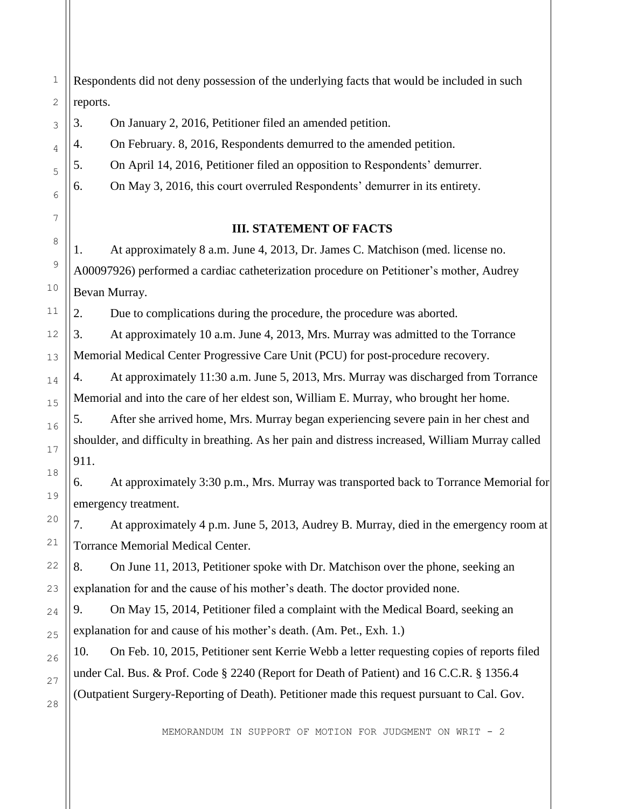1 Respondents did not deny possession of the underlying facts that would be included in such reports.

3. On January 2, 2016, Petitioner filed an amended petition.

4. On February. 8, 2016, Respondents demurred to the amended petition.

5. On April 14, 2016, Petitioner filed an opposition to Respondents' demurrer.

6. On May 3, 2016, this court overruled Respondents' demurrer in its entirety.

### **III. STATEMENT OF FACTS**

1. At approximately 8 a.m. June 4, 2013, Dr. James C. Matchison (med. license no. A00097926) performed a cardiac catheterization procedure on Petitioner's mother, Audrey Bevan Murray.

2. Due to complications during the procedure, the procedure was aborted.

3. At approximately 10 a.m. June 4, 2013, Mrs. Murray was admitted to the Torrance Memorial Medical Center Progressive Care Unit (PCU) for post-procedure recovery.

4. At approximately 11:30 a.m. June 5, 2013, Mrs. Murray was discharged from Torrance Memorial and into the care of her eldest son, William E. Murray, who brought her home.

5. After she arrived home, Mrs. Murray began experiencing severe pain in her chest and shoulder, and difficulty in breathing. As her pain and distress increased, William Murray called 911.

6. At approximately 3:30 p.m., Mrs. Murray was transported back to Torrance Memorial for emergency treatment.

7. At approximately 4 p.m. June 5, 2013, Audrey B. Murray, died in the emergency room at Torrance Memorial Medical Center.

8. On June 11, 2013, Petitioner spoke with Dr. Matchison over the phone, seeking an explanation for and the cause of his mother's death. The doctor provided none.

9. On May 15, 2014, Petitioner filed a complaint with the Medical Board, seeking an explanation for and cause of his mother's death. (Am. Pet., Exh. 1.)

10. On Feb. 10, 2015, Petitioner sent Kerrie Webb a letter requesting copies of reports filed under Cal. Bus. & Prof. Code § 2240 (Report for Death of Patient) and 16 C.C.R. § 1356.4 (Outpatient Surgery-Reporting of Death). Petitioner made this request pursuant to Cal. Gov.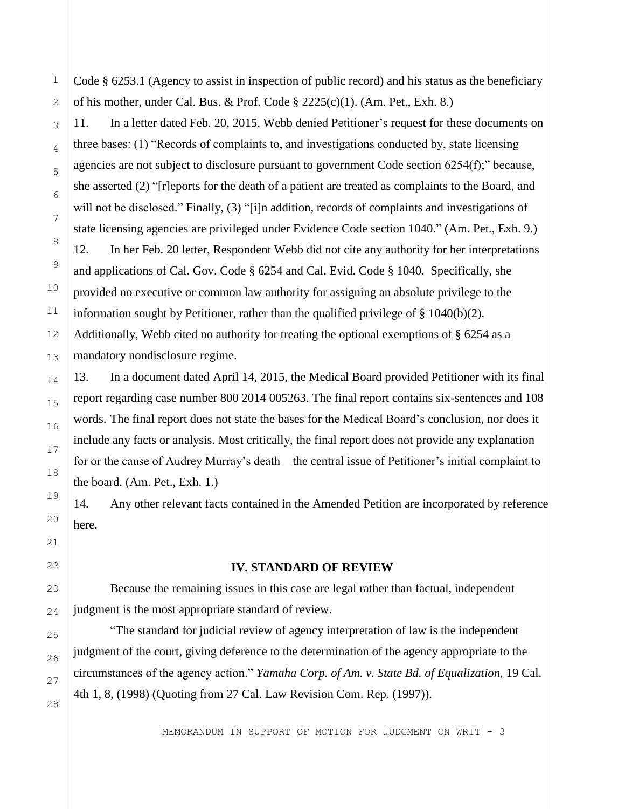Code § 6253.1 (Agency to assist in inspection of public record) and his status as the beneficiary of his mother, under Cal. Bus. & Prof. Code  $\S 2225(c)(1)$ . (Am. Pet., Exh. 8.)

11. In a letter dated Feb. 20, 2015, Webb denied Petitioner's request for these documents on three bases: (1) "Records of complaints to, and investigations conducted by, state licensing agencies are not subject to disclosure pursuant to government Code section 6254(f);" because, she asserted (2) "[r]eports for the death of a patient are treated as complaints to the Board, and will not be disclosed." Finally, (3) "[i]n addition, records of complaints and investigations of state licensing agencies are privileged under Evidence Code section 1040." (Am. Pet., Exh. 9.)

12. In her Feb. 20 letter, Respondent Webb did not cite any authority for her interpretations and applications of Cal. Gov. Code § 6254 and Cal. Evid. Code § 1040. Specifically, she provided no executive or common law authority for assigning an absolute privilege to the information sought by Petitioner, rather than the qualified privilege of § 1040(b)(2). Additionally, Webb cited no authority for treating the optional exemptions of § 6254 as a mandatory nondisclosure regime.

13. In a document dated April 14, 2015, the Medical Board provided Petitioner with its final report regarding case number 800 2014 005263. The final report contains six-sentences and 108 words. The final report does not state the bases for the Medical Board's conclusion, nor does it include any facts or analysis. Most critically, the final report does not provide any explanation for or the cause of Audrey Murray's death – the central issue of Petitioner's initial complaint to the board. (Am. Pet., Exh. 1.)

14. Any other relevant facts contained in the Amended Petition are incorporated by reference here.

#### **IV. STANDARD OF REVIEW**

Because the remaining issues in this case are legal rather than factual, independent judgment is the most appropriate standard of review.

"The standard for judicial review of agency interpretation of law is the independent judgment of the court, giving deference to the determination of the agency appropriate to the circumstances of the agency action." *Yamaha Corp. of Am. v. State Bd. of Equalization,* 19 Cal. 4th 1, 8, (1998) (Quoting from 27 Cal. Law Revision Com. Rep. (1997)).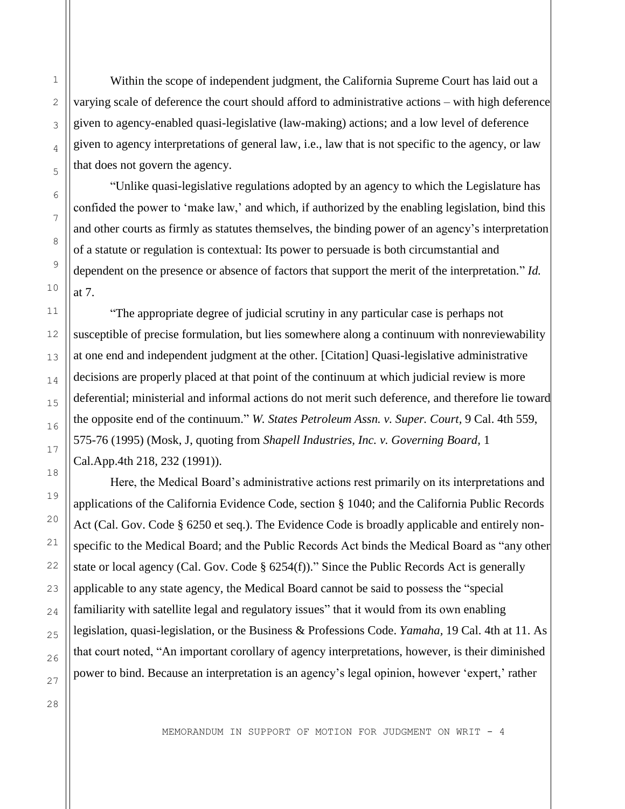Within the scope of independent judgment, the California Supreme Court has laid out a varying scale of deference the court should afford to administrative actions – with high deference given to agency-enabled quasi-legislative (law-making) actions; and a low level of deference given to agency interpretations of general law, i.e., law that is not specific to the agency, or law that does not govern the agency.

"Unlike quasi-legislative regulations adopted by an agency to which the Legislature has confided the power to 'make law,' and which, if authorized by the enabling legislation, bind this and other courts as firmly as statutes themselves, the binding power of an agency's interpretation of a statute or regulation is contextual: Its power to persuade is both circumstantial and dependent on the presence or absence of factors that support the merit of the interpretation." *Id.*  at 7.

"The appropriate degree of judicial scrutiny in any particular case is perhaps not susceptible of precise formulation, but lies somewhere along a continuum with nonreviewability at one end and independent judgment at the other. [Citation] Quasi-legislative administrative decisions are properly placed at that point of the continuum at which judicial review is more deferential; ministerial and informal actions do not merit such deference, and therefore lie toward the opposite end of the continuum." *W. States Petroleum Assn. v. Super. Court,* 9 Cal. 4th 559, 575-76 (1995) (Mosk, J, quoting from *Shapell Industries, Inc. v. Governing Board,* 1 Cal.App.4th 218, 232 (1991)).

Here, the Medical Board's administrative actions rest primarily on its interpretations and applications of the California Evidence Code, section § 1040; and the California Public Records Act (Cal. Gov. Code § 6250 et seq.). The Evidence Code is broadly applicable and entirely nonspecific to the Medical Board; and the Public Records Act binds the Medical Board as "any other state or local agency (Cal. Gov. Code § 6254(f))." Since the Public Records Act is generally applicable to any state agency, the Medical Board cannot be said to possess the "special familiarity with satellite legal and regulatory issues" that it would from its own enabling legislation, quasi-legislation, or the Business & Professions Code. *Yamaha,* 19 Cal. 4th at 11. As that court noted, "An important corollary of agency interpretations, however, is their diminished power to bind. Because an interpretation is an agency's legal opinion, however 'expert,' rather

28

MEMORANDUM IN SUPPORT OF MOTION FOR JUDGMENT ON WRIT - 4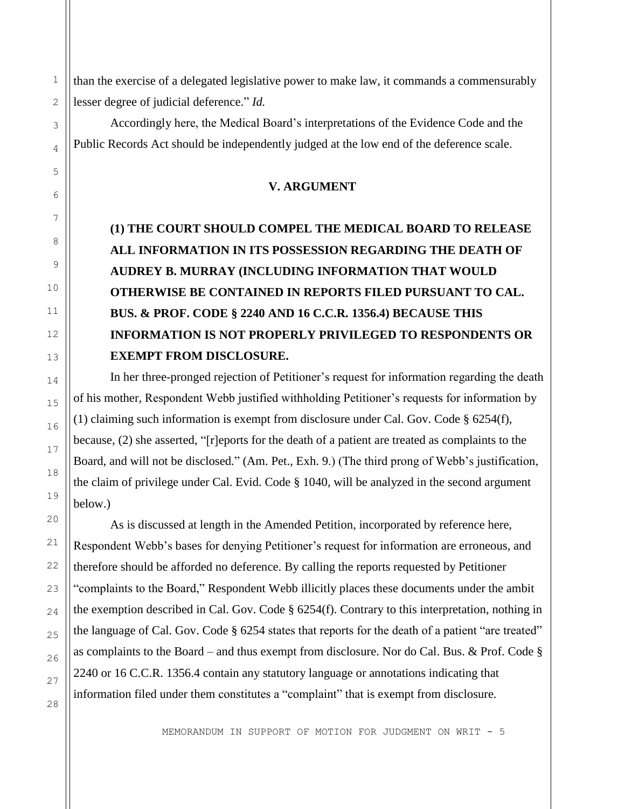than the exercise of a delegated legislative power to make law, it commands a commensurably lesser degree of judicial deference." *Id.*

Accordingly here, the Medical Board's interpretations of the Evidence Code and the Public Records Act should be independently judged at the low end of the deference scale.

#### **V. ARGUMENT**

# **(1) THE COURT SHOULD COMPEL THE MEDICAL BOARD TO RELEASE ALL INFORMATION IN ITS POSSESSION REGARDING THE DEATH OF AUDREY B. MURRAY (INCLUDING INFORMATION THAT WOULD OTHERWISE BE CONTAINED IN REPORTS FILED PURSUANT TO CAL. BUS. & PROF. CODE § 2240 AND 16 C.C.R. 1356.4) BECAUSE THIS INFORMATION IS NOT PROPERLY PRIVILEGED TO RESPONDENTS OR EXEMPT FROM DISCLOSURE.**

In her three-pronged rejection of Petitioner's request for information regarding the death of his mother, Respondent Webb justified withholding Petitioner's requests for information by (1) claiming such information is exempt from disclosure under Cal. Gov. Code § 6254(f), because, (2) she asserted, "[r]eports for the death of a patient are treated as complaints to the Board, and will not be disclosed." (Am. Pet., Exh. 9.) (The third prong of Webb's justification, the claim of privilege under Cal. Evid. Code § 1040, will be analyzed in the second argument below.)

As is discussed at length in the Amended Petition, incorporated by reference here, Respondent Webb's bases for denying Petitioner's request for information are erroneous, and therefore should be afforded no deference. By calling the reports requested by Petitioner "complaints to the Board," Respondent Webb illicitly places these documents under the ambit the exemption described in Cal. Gov. Code  $\S$  6254(f). Contrary to this interpretation, nothing in the language of Cal. Gov. Code § 6254 states that reports for the death of a patient "are treated" as complaints to the Board – and thus exempt from disclosure. Nor do Cal. Bus. & Prof. Code § 2240 or 16 C.C.R. 1356.4 contain any statutory language or annotations indicating that information filed under them constitutes a "complaint" that is exempt from disclosure.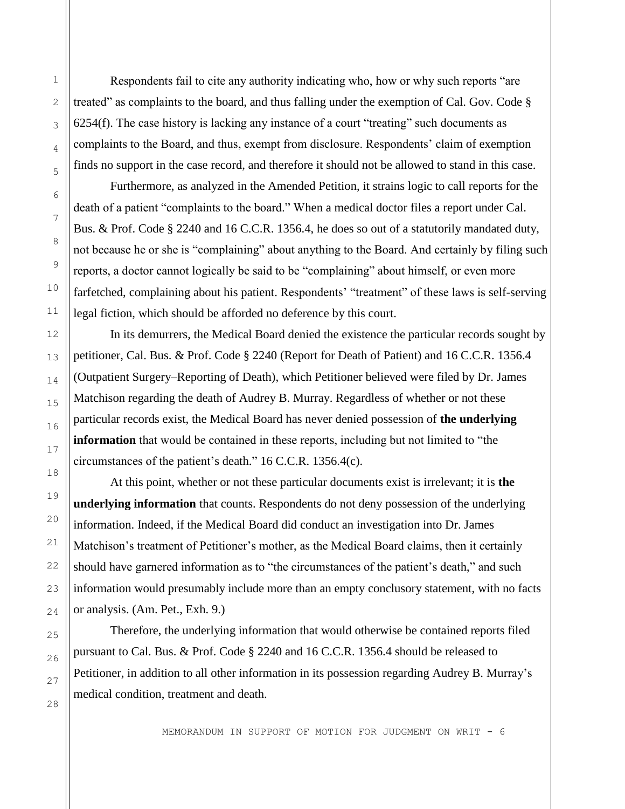Respondents fail to cite any authority indicating who, how or why such reports "are treated" as complaints to the board, and thus falling under the exemption of Cal. Gov. Code § 6254(f). The case history is lacking any instance of a court "treating" such documents as complaints to the Board, and thus, exempt from disclosure. Respondents' claim of exemption finds no support in the case record, and therefore it should not be allowed to stand in this case.

Furthermore, as analyzed in the Amended Petition, it strains logic to call reports for the death of a patient "complaints to the board." When a medical doctor files a report under Cal. Bus. & Prof. Code § 2240 and 16 C.C.R. 1356.4, he does so out of a statutorily mandated duty, not because he or she is "complaining" about anything to the Board. And certainly by filing such reports, a doctor cannot logically be said to be "complaining" about himself, or even more farfetched, complaining about his patient. Respondents' "treatment" of these laws is self-serving legal fiction, which should be afforded no deference by this court.

In its demurrers, the Medical Board denied the existence the particular records sought by petitioner, Cal. Bus. & Prof. Code § 2240 (Report for Death of Patient) and 16 C.C.R. 1356.4 (Outpatient Surgery–Reporting of Death), which Petitioner believed were filed by Dr. James Matchison regarding the death of Audrey B. Murray. Regardless of whether or not these particular records exist, the Medical Board has never denied possession of **the underlying information** that would be contained in these reports, including but not limited to "the circumstances of the patient's death." 16 C.C.R. 1356.4(c).

At this point, whether or not these particular documents exist is irrelevant; it is **the underlying information** that counts. Respondents do not deny possession of the underlying information. Indeed, if the Medical Board did conduct an investigation into Dr. James Matchison's treatment of Petitioner's mother, as the Medical Board claims, then it certainly should have garnered information as to "the circumstances of the patient's death," and such information would presumably include more than an empty conclusory statement, with no facts or analysis. (Am. Pet., Exh. 9.)

Therefore, the underlying information that would otherwise be contained reports filed pursuant to Cal. Bus. & Prof. Code § 2240 and 16 C.C.R. 1356.4 should be released to Petitioner, in addition to all other information in its possession regarding Audrey B. Murray's medical condition, treatment and death.

MEMORANDUM IN SUPPORT OF MOTION FOR JUDGMENT ON WRIT - 6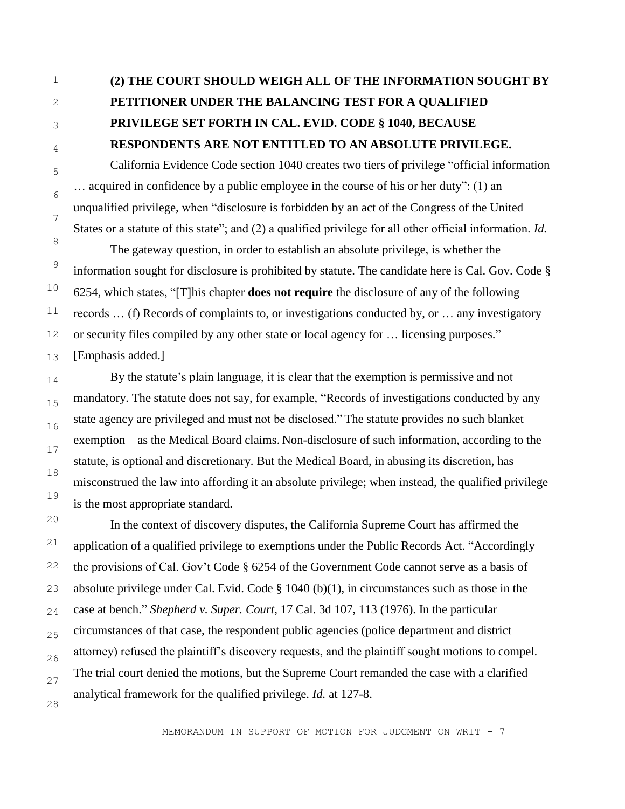# **(2) THE COURT SHOULD WEIGH ALL OF THE INFORMATION SOUGHT BY PETITIONER UNDER THE BALANCING TEST FOR A QUALIFIED PRIVILEGE SET FORTH IN CAL. EVID. CODE § 1040, BECAUSE RESPONDENTS ARE NOT ENTITLED TO AN ABSOLUTE PRIVILEGE.**

California Evidence Code section 1040 creates two tiers of privilege "official information … acquired in confidence by a public employee in the course of his or her duty": (1) an unqualified privilege, when "disclosure is forbidden by an act of the Congress of the United States or a statute of this state"; and (2) a qualified privilege for all other official information. *Id.*

The gateway question, in order to establish an absolute privilege, is whether the information sought for disclosure is prohibited by statute. The candidate here is Cal. Gov. Code § 6254, which states, "[T]his chapter **does not require** the disclosure of any of the following records … (f) Records of complaints to, or investigations conducted by, or … any investigatory or security files compiled by any other state or local agency for … licensing purposes." [Emphasis added.]

By the statute's plain language, it is clear that the exemption is permissive and not mandatory. The statute does not say, for example, "Records of investigations conducted by any state agency are privileged and must not be disclosed." The statute provides no such blanket exemption – as the Medical Board claims. Non-disclosure of such information, according to the statute, is optional and discretionary. But the Medical Board, in abusing its discretion, has misconstrued the law into affording it an absolute privilege; when instead, the qualified privilege is the most appropriate standard.

In the context of discovery disputes, the California Supreme Court has affirmed the application of a qualified privilege to exemptions under the Public Records Act. "Accordingly the provisions of Cal. Gov't Code § 6254 of the Government Code cannot serve as a basis of absolute privilege under Cal. Evid. Code  $\S$  1040 (b)(1), in circumstances such as those in the case at bench." *Shepherd v. Super. Court,* 17 Cal. 3d 107, 113 (1976). In the particular circumstances of that case, the respondent public agencies (police department and district attorney) refused the plaintiff's discovery requests, and the plaintiff sought motions to compel. The trial court denied the motions, but the Supreme Court remanded the case with a clarified analytical framework for the qualified privilege. *Id.* at 127-8.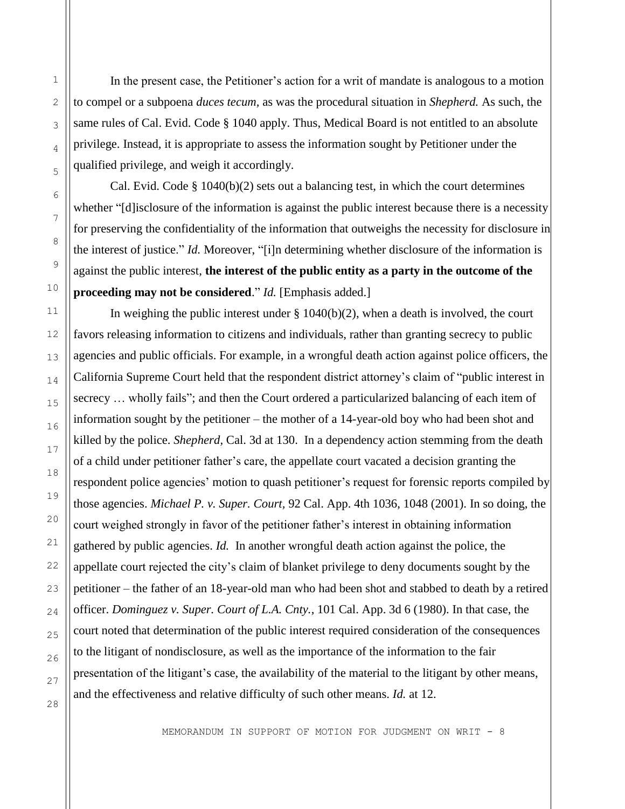In the present case, the Petitioner's action for a writ of mandate is analogous to a motion to compel or a subpoena *duces tecum,* as was the procedural situation in *Shepherd.* As such, the same rules of Cal. Evid. Code § 1040 apply. Thus, Medical Board is not entitled to an absolute privilege. Instead, it is appropriate to assess the information sought by Petitioner under the qualified privilege, and weigh it accordingly.

Cal. Evid. Code  $\S$  1040(b)(2) sets out a balancing test, in which the court determines whether "[d]isclosure of the information is against the public interest because there is a necessity for preserving the confidentiality of the information that outweighs the necessity for disclosure in the interest of justice." *Id.* Moreover, "[i]n determining whether disclosure of the information is against the public interest, **the interest of the public entity as a party in the outcome of the proceeding may not be considered**." *Id.* [Emphasis added.]

In weighing the public interest under  $\S 1040(b)(2)$ , when a death is involved, the court favors releasing information to citizens and individuals, rather than granting secrecy to public agencies and public officials. For example, in a wrongful death action against police officers, the California Supreme Court held that the respondent district attorney's claim of "public interest in secrecy … wholly fails"; and then the Court ordered a particularized balancing of each item of information sought by the petitioner – the mother of a 14-year-old boy who had been shot and killed by the police. *Shepherd,* Cal. 3d at 130. In a dependency action stemming from the death of a child under petitioner father's care, the appellate court vacated a decision granting the respondent police agencies' motion to quash petitioner's request for forensic reports compiled by those agencies. *Michael P. v. Super. Court,* 92 Cal. App. 4th 1036, 1048 (2001). In so doing, the court weighed strongly in favor of the petitioner father's interest in obtaining information gathered by public agencies. *Id.* In another wrongful death action against the police, the appellate court rejected the city's claim of blanket privilege to deny documents sought by the petitioner – the father of an 18-year-old man who had been shot and stabbed to death by a retired officer. *Dominguez v. Super. Court of L.A. Cnty.*, 101 Cal. App. 3d 6 (1980). In that case, the court noted that determination of the public interest required consideration of the consequences to the litigant of nondisclosure, as well as the importance of the information to the fair presentation of the litigant's case, the availability of the material to the litigant by other means, and the effectiveness and relative difficulty of such other means. *Id.* at 12.

MEMORANDUM IN SUPPORT OF MOTION FOR JUDGMENT ON WRIT - 8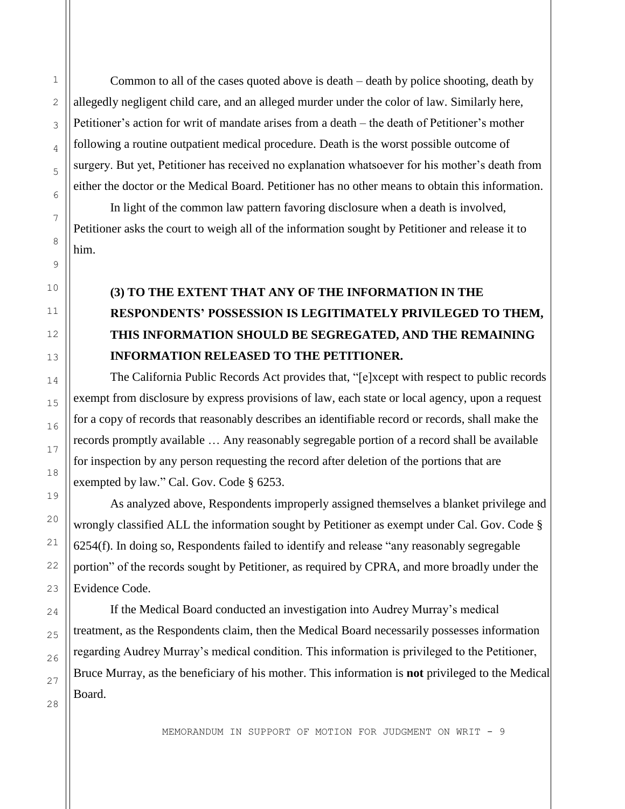Common to all of the cases quoted above is death – death by police shooting, death by allegedly negligent child care, and an alleged murder under the color of law. Similarly here, Petitioner's action for writ of mandate arises from a death – the death of Petitioner's mother following a routine outpatient medical procedure. Death is the worst possible outcome of surgery. But yet, Petitioner has received no explanation whatsoever for his mother's death from either the doctor or the Medical Board. Petitioner has no other means to obtain this information.

In light of the common law pattern favoring disclosure when a death is involved, Petitioner asks the court to weigh all of the information sought by Petitioner and release it to him.

# **(3) TO THE EXTENT THAT ANY OF THE INFORMATION IN THE RESPONDENTS' POSSESSION IS LEGITIMATELY PRIVILEGED TO THEM, THIS INFORMATION SHOULD BE SEGREGATED, AND THE REMAINING INFORMATION RELEASED TO THE PETITIONER.**

The California Public Records Act provides that, "[e]xcept with respect to public records exempt from disclosure by express provisions of law, each state or local agency, upon a request for a copy of records that reasonably describes an identifiable record or records, shall make the records promptly available … Any reasonably segregable portion of a record shall be available for inspection by any person requesting the record after deletion of the portions that are exempted by law." Cal. Gov. Code § 6253.

As analyzed above, Respondents improperly assigned themselves a blanket privilege and wrongly classified ALL the information sought by Petitioner as exempt under Cal. Gov. Code § 6254(f). In doing so, Respondents failed to identify and release "any reasonably segregable portion" of the records sought by Petitioner, as required by CPRA, and more broadly under the Evidence Code.

If the Medical Board conducted an investigation into Audrey Murray's medical treatment, as the Respondents claim, then the Medical Board necessarily possesses information regarding Audrey Murray's medical condition. This information is privileged to the Petitioner, Bruce Murray, as the beneficiary of his mother. This information is **not** privileged to the Medical Board.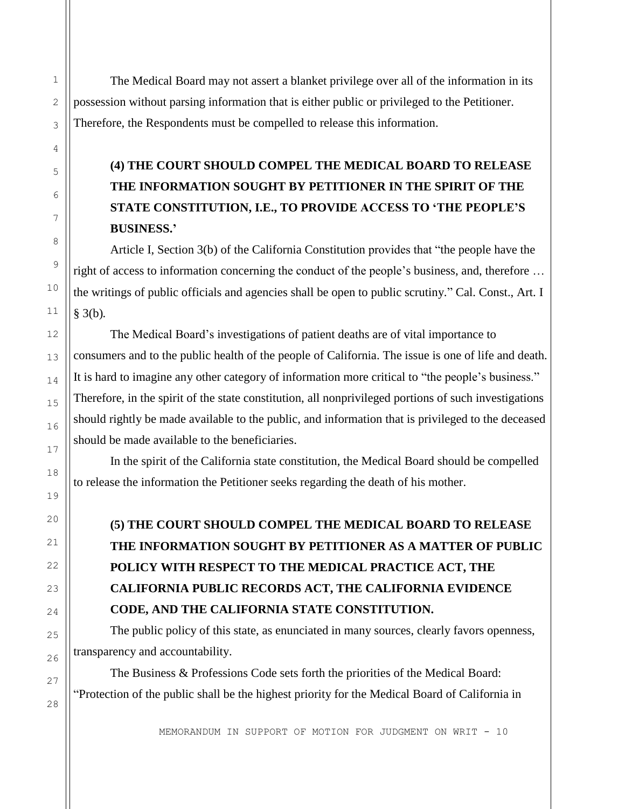The Medical Board may not assert a blanket privilege over all of the information in its possession without parsing information that is either public or privileged to the Petitioner. Therefore, the Respondents must be compelled to release this information.

## **(4) THE COURT SHOULD COMPEL THE MEDICAL BOARD TO RELEASE THE INFORMATION SOUGHT BY PETITIONER IN THE SPIRIT OF THE STATE CONSTITUTION, I.E., TO PROVIDE ACCESS TO 'THE PEOPLE'S BUSINESS.'**

Article I, Section 3(b) of the California Constitution provides that "the people have the right of access to information concerning the conduct of the people's business, and, therefore … the writings of public officials and agencies shall be open to public scrutiny." Cal. Const., Art. I § 3(b)*.*

The Medical Board's investigations of patient deaths are of vital importance to consumers and to the public health of the people of California. The issue is one of life and death. It is hard to imagine any other category of information more critical to "the people's business." Therefore, in the spirit of the state constitution, all nonprivileged portions of such investigations should rightly be made available to the public, and information that is privileged to the deceased should be made available to the beneficiaries.

In the spirit of the California state constitution, the Medical Board should be compelled to release the information the Petitioner seeks regarding the death of his mother.

**(5) THE COURT SHOULD COMPEL THE MEDICAL BOARD TO RELEASE THE INFORMATION SOUGHT BY PETITIONER AS A MATTER OF PUBLIC POLICY WITH RESPECT TO THE MEDICAL PRACTICE ACT, THE CALIFORNIA PUBLIC RECORDS ACT, THE CALIFORNIA EVIDENCE CODE, AND THE CALIFORNIA STATE CONSTITUTION.**

The public policy of this state, as enunciated in many sources, clearly favors openness, transparency and accountability.

The Business & Professions Code sets forth the priorities of the Medical Board: "Protection of the public shall be the highest priority for the Medical Board of California in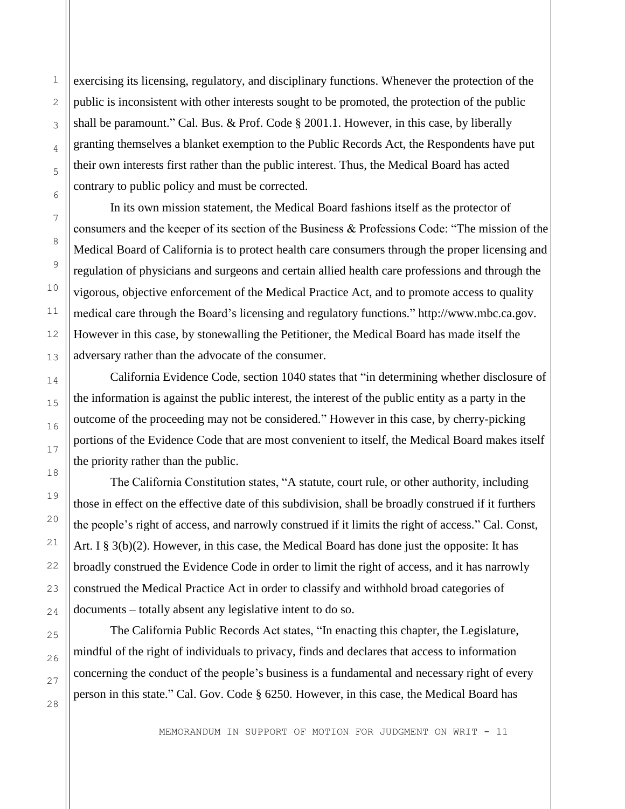exercising its licensing, regulatory, and disciplinary functions. Whenever the protection of the public is inconsistent with other interests sought to be promoted, the protection of the public shall be paramount." Cal. Bus. & Prof. Code § 2001.1. However, in this case, by liberally granting themselves a blanket exemption to the Public Records Act, the Respondents have put their own interests first rather than the public interest. Thus, the Medical Board has acted contrary to public policy and must be corrected.

In its own mission statement, the Medical Board fashions itself as the protector of consumers and the keeper of its section of the Business & Professions Code: "The mission of the Medical Board of California is to protect health care consumers through the proper licensing and regulation of physicians and surgeons and certain allied health care professions and through the vigorous, objective enforcement of the Medical Practice Act, and to promote access to quality medical care through the Board's licensing and regulatory functions." http://www.mbc.ca.gov. However in this case, by stonewalling the Petitioner, the Medical Board has made itself the adversary rather than the advocate of the consumer.

California Evidence Code, section 1040 states that "in determining whether disclosure of the information is against the public interest, the interest of the public entity as a party in the outcome of the proceeding may not be considered." However in this case, by cherry-picking portions of the Evidence Code that are most convenient to itself, the Medical Board makes itself the priority rather than the public.

The California Constitution states, "A statute, court rule, or other authority, including those in effect on the effective date of this subdivision, shall be broadly construed if it furthers the people's right of access, and narrowly construed if it limits the right of access." Cal. Const, Art. I § 3(b)(2). However, in this case, the Medical Board has done just the opposite: It has broadly construed the Evidence Code in order to limit the right of access, and it has narrowly construed the Medical Practice Act in order to classify and withhold broad categories of documents – totally absent any legislative intent to do so.

The California Public Records Act states, "In enacting this chapter, the Legislature, mindful of the right of individuals to privacy, finds and declares that access to information concerning the conduct of the people's business is a fundamental and necessary right of every person in this state." Cal. Gov. Code § 6250. However, in this case, the Medical Board has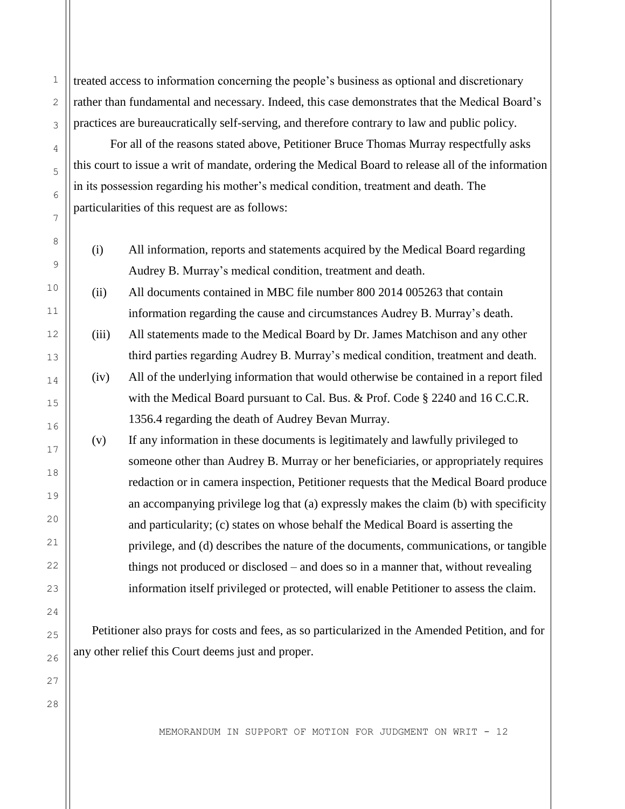treated access to information concerning the people's business as optional and discretionary rather than fundamental and necessary. Indeed, this case demonstrates that the Medical Board's practices are bureaucratically self-serving, and therefore contrary to law and public policy.

For all of the reasons stated above, Petitioner Bruce Thomas Murray respectfully asks this court to issue a writ of mandate, ordering the Medical Board to release all of the information in its possession regarding his mother's medical condition, treatment and death. The particularities of this request are as follows:

(i) All information, reports and statements acquired by the Medical Board regarding Audrey B. Murray's medical condition, treatment and death.

(ii) All documents contained in MBC file number 800 2014 005263 that contain information regarding the cause and circumstances Audrey B. Murray's death.

- (iii) All statements made to the Medical Board by Dr. James Matchison and any other third parties regarding Audrey B. Murray's medical condition, treatment and death.
- (iv) All of the underlying information that would otherwise be contained in a report filed with the Medical Board pursuant to Cal. Bus. & Prof. Code § 2240 and 16 C.C.R. 1356.4 regarding the death of Audrey Bevan Murray.
- (v) If any information in these documents is legitimately and lawfully privileged to someone other than Audrey B. Murray or her beneficiaries, or appropriately requires redaction or in camera inspection, Petitioner requests that the Medical Board produce an accompanying privilege log that (a) expressly makes the claim (b) with specificity and particularity; (c) states on whose behalf the Medical Board is asserting the privilege, and (d) describes the nature of the documents, communications, or tangible things not produced or disclosed – and does so in a manner that, without revealing information itself privileged or protected, will enable Petitioner to assess the claim.

Petitioner also prays for costs and fees, as so particularized in the Amended Petition, and for any other relief this Court deems just and proper.

MEMORANDUM IN SUPPORT OF MOTION FOR JUDGMENT ON WRIT - 12